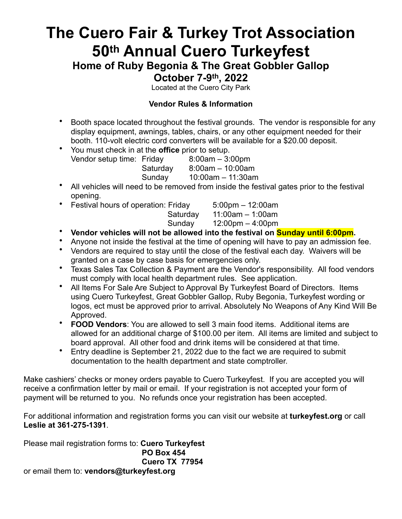# **The Cuero Fair & Turkey Trot Association 50th Annual Cuero Turkeyfest**

**Home of Ruby Begonia & The Great Gobbler Gallop**

**October 7-9th, 2022**

Located at the Cuero City Park

## **Vendor Rules & Information**

- Booth space located throughout the festival grounds. The vendor is responsible for any display equipment, awnings, tables, chairs, or any other equipment needed for their booth. 110-volt electric cord converters will be available for a \$20.00 deposit.
- You must check in at the **office** prior to setup. Vendor setup time: Friday 8:00am – 3:00pm Saturday 8:00am – 10:00am

Sunday 10:00am – 11:30am

- All vehicles will need to be removed from inside the festival gates prior to the festival opening.
- Festival hours of operation: Friday 5:00pm 12:00am Saturday 11:00am – 1:00am Sunday 12:00pm – 4:00pm
- **Vendor vehicles will not be allowed into the festival on Sunday until 6:00pm.**
- Anyone not inside the festival at the time of opening will have to pay an admission fee.
- Vendors are required to stay until the close of the festival each day. Waivers will be granted on a case by case basis for emergencies only.
- Texas Sales Tax Collection & Payment are the Vendor's responsibility. All food vendors must comply with local health department rules. See application.
- All Items For Sale Are Subject to Approval By Turkeyfest Board of Directors. Items using Cuero Turkeyfest, Great Gobbler Gallop, Ruby Begonia, Turkeyfest wording or logos, ect must be approved prior to arrival. Absolutely No Weapons of Any Kind Will Be Approved.
- **FOOD Vendors**: You are allowed to sell 3 main food items. Additional items are allowed for an additional charge of \$100.00 per item. All items are limited and subject to board approval. All other food and drink items will be considered at that time.
- Entry deadline is September 21, 2022 due to the fact we are required to submit documentation to the health department and state comptroller.

Make cashiers' checks or money orders payable to Cuero Turkeyfest. If you are accepted you will receive a confirmation letter by mail or email. If your registration is not accepted your form of payment will be returned to you. No refunds once your registration has been accepted.

For additional information and registration forms you can visit our website at **turkeyfest.org** or call **Leslie at 361-275-1391**.

Please mail registration forms to: **Cuero Turkeyfest PO Box 454 Cuero TX 77954** or email them to: **vendors@turkeyfest.org**